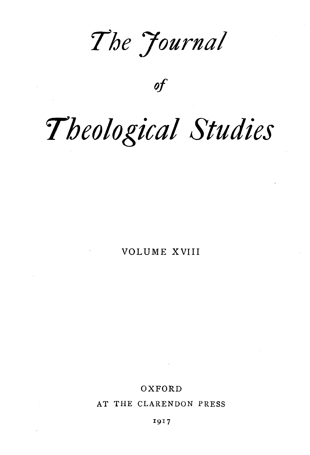*'The 7ournal* 

*of* 

# *'Theological Studies*

VOLUME XVIII

## OXFORD

AT THE CLARENDON PRESS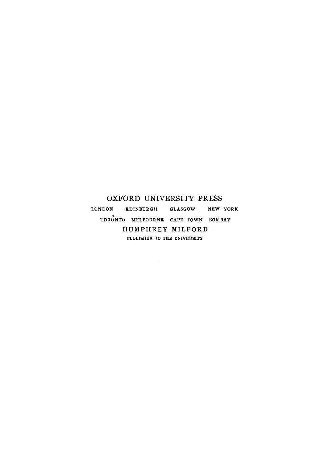### OXFORD UNIVERSITY PRESS

LONDON EDINBURGH GLASGOW NEW YORK TORONTO MELBOURNE CAPE TOWN BOMBAY HUMPHREY MILFORD PUBLISHER TO THE UNIVERSITY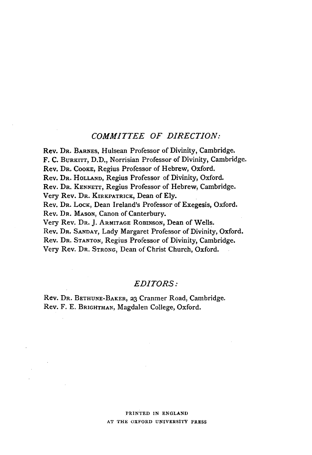### *COMMITTEE OF DIRECTION:*

Rev. DR. BARNES, Hulsean Professor of Divinity, Cambridge. F. C. BuRKITT, D.D., Norrisian Professor of Divinity, Cambridge. Rev. DR. CooKE, Regius Professor of Hebrew, Oxford. Rev. DR. HoLLAND, Regius Professor of Divinity, Oxford. Rev. DR. KENNETT, Regius Professor of Hebrew, Cambridge. Very Rev. DR. KIRKPATRICK, Dean of Ely. Rev. DR. LocK, Dean Ireland's Professor of Exegesis, Oxford. Rev. DR. MAsoN, Canon of Canterbury. Very Rev. DR. J. ARMITAGE RoBINSON, Dean of Wells. Rev. DR. SANDAY, Lady Margaret Professor of Divinity, Oxford. Rev. DR. STANTON, Regius Professor of Divinity, Cambridge. Very Rev. DR. STRONG, Dean of Christ Church, Oxford.

#### *EDITORS:*

Rev. DR. BETHUNE-BAKER, 23 Cranmer Road, Cambridge. Rev. F. E. BRIGHTMAN, Magdalen College, Oxford.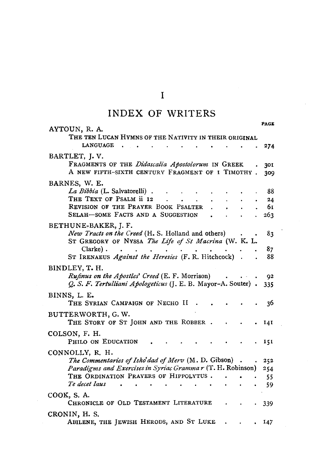|  | INDEX OF WRITERS |
|--|------------------|
|  |                  |

| AYTOUN, R. A.                                                                                                         | PAGE       |
|-----------------------------------------------------------------------------------------------------------------------|------------|
| THE TEN LUCAN HYMNS OF THE NATIVITY IN THEIR ORIGINAL<br><b>LANGUAGE</b>                                              | 274        |
| BARTLET, J.V.<br>FRAGMENTS OF THE Didascalia Apostolorum IN GREEK<br>A NEW FIFTH-SIXTH CENTURY FRAGMENT OF I TIMOTHY. | 301<br>309 |
| BARNES, W. E.                                                                                                         |            |
| La Bibbia (L. Salvatorelli).<br>THE TEXT OF PSALM ii 12                                                               | 88<br>24   |
| REVISION OF THE PRAYER BOOK PSALTER                                                                                   | 61         |
| SELAH-SOME FACTS AND A SUGGESTION                                                                                     | 263        |
| BETHUNE-BAKER, J. F.<br>New Tracts on the Creed (H. S. Holland and others)                                            | 83         |
| ST GREGORY OF NYSSA The Life of St Macrina (W. K. L.                                                                  |            |
| Clarke).                                                                                                              | 87         |
| ST IRENAEUS Against the Heresies (F. R. Hitchcock)                                                                    | 88         |
| BINDLEY, T. H.                                                                                                        |            |
| Rufinus on the Apostles' Creed (E. F. Morrison)<br>Q. S. F. Tertulliani Apologeticus (J. E. B. Mayor-A. Souter).      | 92<br>335  |
| BINNS, L. E.                                                                                                          |            |
| THE SYRIAN CAMPAIGN OF NECHO II                                                                                       | 36         |
| BUTTERWORTH, G.W.<br>THE STORY OF ST JOHN AND THE ROBBER.                                                             | 141        |
| COLSON, F. H.                                                                                                         |            |
| PHILO ON EDUCATION                                                                                                    | 151        |
| CONNOLLY, R. H.                                                                                                       |            |
| The Commentaries of Isho'dad of Merv (M. D. Gibson).                                                                  | 252        |
| Paradigms and Exercises in Syriac Grammar (T. H. Robinson)                                                            | 254        |
| THE ORDINATION PRAYERS OF HIPPOLYTUS.<br>Te decet laus                                                                | 55         |
|                                                                                                                       | 59         |
| COOK, S.A.<br>CHRONICLE OF OLD TESTAMENT LITERATURE                                                                   | 339        |
| CRONIN, H. S.<br>ABILENE, THE JEWISH HERODS, AND ST LUKE                                                              | 147        |
|                                                                                                                       |            |

 $\mathbf{I}$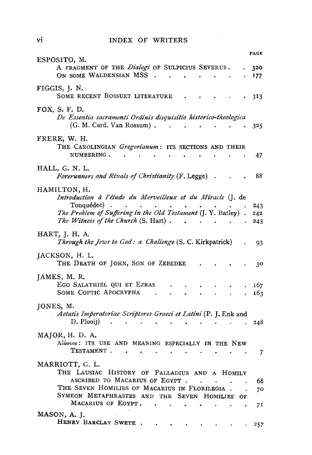#### INDEX OF WRITERS

|                                                                                                                     | PAGE            |
|---------------------------------------------------------------------------------------------------------------------|-----------------|
| ESPOSITO, M.<br>A FRAGMENT OF THE Dialogi OF SULPICIUS SEVERUS.<br>ON SOME WALDENSIAN MSS .<br>$\ddot{\phantom{0}}$ | 320<br>177      |
| FIGGIS, J. N.<br>SOME RECENT BOSSUET LITERATURE                                                                     | 3 <sub>13</sub> |
| FOX, S. F. D.<br>De Essentia sacramenti Ordinis disquisitio historico-theologica<br>(G. M. Card. Van Rossum). .     | 325             |
| FRERE, W. H.<br>THE CAROLINGIAN <i>Gregorianum</i> : ITS SECTIONS AND THEIR                                         |                 |
| NUMBERING.                                                                                                          | 47              |
| HALL, G. N. L.<br>Forerunners and Rivals of Christianity (F. Legge).                                                | 88              |
| HAMILTON, H.<br>Introduction à l'étude du Merveilleux et du Miracle (J. de                                          |                 |
| Tonquédec).<br>The Problem of Suffering in the Old Testament (J. Y. Batley).                                        | 243<br>242      |
| The Witness of the Church (S. Hart).                                                                                | 243             |
| HART, J. H. A.<br>Through the Jews to God: a Challenge (S. C. Kirkpatrick)                                          | 93              |
| JACKSON, H. L.<br>THE DEATH OF JOHN, SON OF ZEBEDEE                                                                 | 30              |
| JAMES, M. R.<br>EGO SALATHIEL QUI ET EZRAS                                                                          | 167             |
| SOME COPTIC APOCRYPHA                                                                                               | 163             |
| JONES, M.<br>Aetatis Imperatoriae Scriptores Graeci et Latini (P. J. Enk and                                        |                 |
| D. Plooii)                                                                                                          | 248             |
| MAJOR, H. D. A.<br>Alwvios: ITS USE AND MEANING ESPECIALLY IN THE NEW                                               |                 |
| TESTAMENT.                                                                                                          | 7               |
| MARRIOTT, G. L.<br>THE LAUSIAC HISTORY OF PALLADIUS AND A HOMILY                                                    |                 |
| ASCRIBED TO MACARIUS OF EGYPT.<br>$\sim$<br>$\ddot{\phantom{a}}$<br>THE SEVEN HOMILIES OF MACARIUS IN FLORILEGIA.   | 68              |
| SYMEON METAPHRASTES AND THE SEVEN HOMILIES OF                                                                       | 70              |
| MACARIUS OF EGYPT.                                                                                                  | 71              |
| MASON, A. J.<br>HENRY BARCLAY SWETE.                                                                                | 257             |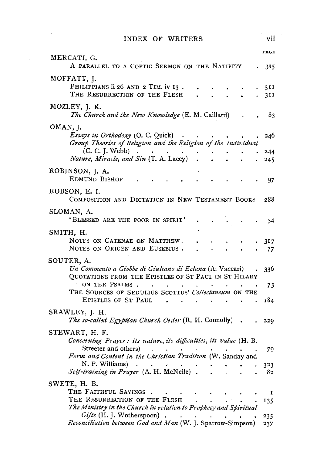INDEX OF WRITERS vii

| MERCATI, G.                                                                                                                   | PAGE       |
|-------------------------------------------------------------------------------------------------------------------------------|------------|
| A PARALLEL TO A COPTIC SERMON ON THE NATIVITY                                                                                 | 315        |
| MOFFATT, J.<br>PHILIPPIANS ii 26 AND 2 TIM. iv 13.<br>THE RESURRECTION OF THE FLESH                                           | 311<br>311 |
| MOZLEY, J. K.                                                                                                                 |            |
| The Church and the New Knowledge (E. M. Caillard)<br>OMAN, J.                                                                 | 83         |
| <i>Essays in Orthodoxy</i> (O. C. Quick)<br>Group Theories of Religion and the Religion of the Individual                     | 246        |
| (C. C. J. Webb)<br>Nature, Miracle, and Sin (T. A. Lacey)                                                                     | 244<br>245 |
| ROBINSON, J. A.<br>EDMUND BISHOP                                                                                              | 97         |
| ROBSON, E. I.<br>COMPOSITION AND DICTATION IN NEW TESTAMENT BOOKS                                                             | 288        |
| SLOMAN, A.<br>'BLESSED ARE THE POOR IN SPIRIT'                                                                                | 34         |
| SMITH, H.                                                                                                                     |            |
| NOTES ON CATENAE ON MATTHEW.<br>NOTES ON ORIGEN AND EUSEBIUS.                                                                 | 317<br>77  |
| SOUTER, A.<br>Un Commento a Giobbe di Giuliano di Eclana (A. Vaccari)<br>QUOTATIONS FROM THE EPISTLES OF ST PAUL IN ST HILARY | 336        |
| ON THE PSALMS.<br>$\sim$<br>$\bullet$<br>THE SOURCES OF SEDULIUS SCOTTUS' Collectaneum ON THE                                 | 73         |
| EPISTLES OF ST PAUL<br>$\overline{a}$<br>SRAWLEY, J. H.                                                                       | 184        |
| The so-called Egyptian Church Order (R. H. Connolly).                                                                         | 229        |
| STEWART, H. F.<br>Concerning Prayer: its nature, its difficulties, its value (H. B.                                           |            |
| Streeter and others)<br>Form and Content in the Christian Tradition (W. Sanday and                                            | 79         |
| N. P. Williams)<br>$\ddot{\phantom{0}}$<br>Self-training in Prayer (A. H. McNeile).                                           | 323<br>82  |
| SWETE, H. B.                                                                                                                  |            |
| THE FAITHFUL SAYINGS<br>THE RESURRECTION OF THE FLESH                                                                         | 1<br>135   |
| The Ministry in the Church in relation to Prophecy and Spiritual<br>Gifts (H. J. Wotherspoon)<br>$\bullet$                    | 235        |
| Reconciliation between God and Man (W. J. Sparrow-Simpson)                                                                    | 237        |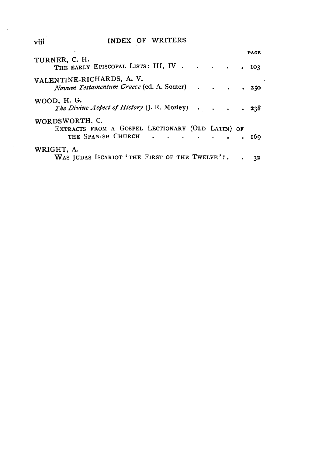# viii INDEX OF WRITERS

|                                                                                          |  |  | <b>PAGE</b> |  |
|------------------------------------------------------------------------------------------|--|--|-------------|--|
| TURNER, C. H.<br>THE EARLY EPISCOPAL LISTS: III, IV                                      |  |  | . 103       |  |
| VALENTINE-RICHARDS, A. V.<br>Novum Testamentum Graece (ed. A. Souter) 250                |  |  |             |  |
| WOOD, H. G.<br>The Divine Aspect of History (J. R. Mozley) 238                           |  |  |             |  |
| WORDSWORTH, C.<br>EXTRACTS FROM A GOSPEL LECTIONARY (OLD LATIN) OF<br>THE SPANISH CHURCH |  |  | 169         |  |
| WRIGHT, A.<br>WAS JUDAS ISCARIOT 'THE FIRST OF THE TWELVE'?.                             |  |  | 32          |  |

 $\sim$   $\sim$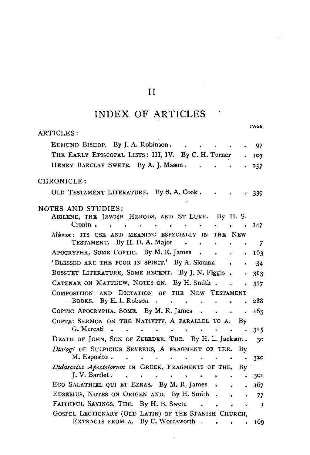# II

# **INDEX OF ARTICLES**

| PAGE                                                                                                                                                                               |  |
|------------------------------------------------------------------------------------------------------------------------------------------------------------------------------------|--|
| ARTICLES:                                                                                                                                                                          |  |
| EDMUND BISHOP. By J. A. Robinson.<br>97                                                                                                                                            |  |
| THE EARLY EPISCOPAL LISTS: III, IV. By C. H. Turner<br>103                                                                                                                         |  |
| HENRY BARCLAY SWETE. By A. J. Mason.<br>257                                                                                                                                        |  |
| CHRONICLE:                                                                                                                                                                         |  |
| OLD TESTAMENT LITERATURE. By S. A. Cook.<br>339                                                                                                                                    |  |
| NOTES AND STUDIES:<br>ABILENE, THE JEWISH HERODS, AND ST LUKE. By H. S.<br>Cronin.<br>147<br>$\bullet$                                                                             |  |
| Alwvios: ITS USE AND MEANING ESPECIALLY IN<br>THE NEW                                                                                                                              |  |
| TESTAMENT. By H.D. A. Major<br>$\sim$<br>7                                                                                                                                         |  |
| APOCRYPHA, SOME COPTIC. By M.R. James<br>163<br>$\ddot{\phantom{a}}$<br>$\bullet$                                                                                                  |  |
| 'BLESSED ARE THE POOR IN SPIRIT.' By A. Sloman<br>34                                                                                                                               |  |
| BOSSUET LITERATURE, SOME RECENT. By J. N. Figgis.<br>313<br>$\ddot{\phantom{0}}$                                                                                                   |  |
| CATENAE ON MATTHEW, NOTES ON. By H. Smith.<br>317                                                                                                                                  |  |
| COMPOSITION AND DICTATION OF THE NEW TESTAMENT                                                                                                                                     |  |
| By E. I. Robson<br>288<br>Books.<br>$\ddot{\phantom{0}}$<br>$\bullet$ .<br><br><br><br><br><br><br><br><br><br><br><br><br><br><br>٠<br>$\bullet$<br>$\ddot{\phantom{0}}$          |  |
| COPTIC APOCRYPHA, SOME. By M. R. James<br>163<br>$\sim$<br>$\sim$                                                                                                                  |  |
| COPTIC SERMON ON THE NATIVITY, A PARALLEL TO A.<br>By                                                                                                                              |  |
| G. Mercati<br>$\sim$<br>315                                                                                                                                                        |  |
| DEATH OF JOHN, SON OF ZEBEDEE, THE. By H. L. Jackson.<br>30                                                                                                                        |  |
| Dialogi OF SULPICIUS SEVERUS, A FRAGMENT OF THE.<br>By                                                                                                                             |  |
| M. Esposito.<br>320                                                                                                                                                                |  |
| Didascalia Apostolorum IN GREEK, FRAGMENTS OF THE.<br>Bv<br>J. V. Bartlet.<br>$\cdot$ $\cdot$ $\cdot$ $\cdot$ $\cdot$<br>$\overline{\phantom{a}}$<br>$\bullet$<br>301<br>$\bullet$ |  |
| EGO SALATHIEL QUI ET EZRAS. By M. R. James.<br>167<br>$\bullet$                                                                                                                    |  |
| EUSEBIUS, NOTES ON ORIGEN AND. By H. Smith.<br>$\sim 100$<br>77                                                                                                                    |  |
| FAITHFUL SAYINGS, THE. By H. B. Swete<br>$\ddot{\phantom{a}}$<br>1<br>$\bullet$                                                                                                    |  |
| GOSPEL LECTIONARY (OLD LATIN) OF THE SPANISH CHURCH,                                                                                                                               |  |
| EXTRACTS FROM A. By C. Wordsworth<br>169                                                                                                                                           |  |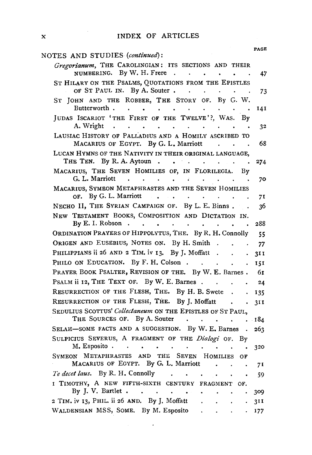| NOTES AND STUDIES (continued):                                                                                                                                                           | PAGE |
|------------------------------------------------------------------------------------------------------------------------------------------------------------------------------------------|------|
| Gregorianum, THE CAROLINGIAN: ITS SECTIONS AND THEIR<br>NUMBERING. By W. H. Frere                                                                                                        | 47   |
| ST HILARY ON THE PSALMS, QUOTATIONS FROM THE EPISTLES<br>OF ST PAUL IN. By A. Souter<br>$\sim$ $\sim$ $\sim$                                                                             | 73   |
| ST JOHN AND THE ROBBER, THE STORY OF. By G. W.<br>Butterworth.<br>the contract of the contract of the contract of<br>$\ddot{\phantom{0}}$                                                | 141  |
| JUDAS ISCARIOT 'THE FIRST OF THE TWELVE'?, WAS. By<br>A. Wright                                                                                                                          | 32   |
| LAUSIAC HISTORY OF PALLADIUS AND A HOMILY ASCRIBED TO<br>MACARIUS OF EGYPT. By G. L. Marriott.                                                                                           | 68   |
| LUCAN HYMNS OF THE NATIVITY IN THEIR ORIGINAL LANGUAGE,<br>THE TEN. By R.A. Aytoun.                                                                                                      | 274  |
| MACARIUS, THE SEVEN HOMILIES OF, IN FLORILEGIA. By<br>G. L. Marriott                                                                                                                     | 70   |
| MACARIUS, SYMEON METAPHRASTES AND THE SEVEN HOMILIES<br>OF. By G. L. Marriott                                                                                                            | 71   |
| NECHO II, THE SYRIAN CAMPAIGN OF. By L. E. Binns.                                                                                                                                        | 36   |
| NEW TESTAMENT BOOKS, COMPOSITION AND DICTATION IN.<br>By E. I. Robson $\cdot$ $\cdot$ $\cdot$ $\cdot$ $\cdot$<br>a.                                                                      | 288  |
| ORDINATION PRAYERS OF HIPPOLYTUS, THE. By R. H. Connolly                                                                                                                                 | 55   |
| ORIGEN AND EUSEBIUS, NOTES ON. By H. Smith .<br><b>Contract Contract Street</b><br>$\ddot{\phantom{a}}$                                                                                  | 77   |
| PHILIPPIANS ii 26 AND 2 TIM. iv 13. By J. Moffatt                                                                                                                                        | 3II  |
| PHILO ON EDUCATION. By F. H. Colson<br>$\ddot{\phantom{a}}$                                                                                                                              | 151  |
| PRAYER BOOK PSALTER, REVISION OF THE. By W. E. Barnes.                                                                                                                                   | - 61 |
| PSALM ii 12, THE TEXT OF. By W. E. Barnes.                                                                                                                                               | 24   |
| RESURRECTION OF THE FLESH, THE. By H. B. Swete                                                                                                                                           | 135  |
| RESURRECTION OF THE FLESH, THE. By J. Moffatt                                                                                                                                            | 311  |
| SEDULIUS SCOTTUS' Collectaneum ON THE EPISTLES OF ST PAUL,                                                                                                                               |      |
| THE SOURCES OF. By A. Souter<br>the contract of the contract of the contract of<br>$\mathbf{r}$                                                                                          | 184  |
| SELAH-SOME FACTS AND A SUGGESTION. By W. E. Barnes<br>$\sim$                                                                                                                             | 263  |
| SULPICIUS SEVERUS, A FRAGMENT OF THE Dialogi OF.<br>Bv<br>M. Esposito<br>$\bullet$<br>$\bullet$ . $\bullet$ .<br>$\epsilon_{\rm{max}}$ , $\epsilon_{\rm{max}}$<br>$\bullet$<br>$\bullet$ | 320  |
| SYMEON METAPHRASTES AND THE SEVEN HOMILIES<br>OF                                                                                                                                         |      |
| MACARIUS OF EGYPT. By G. L. Marriott<br>$\ddot{\phantom{0}}$                                                                                                                             | 71   |
| Te decet laus. By R. H. Connolly<br>$\bullet$ . $\bullet$ .                                                                                                                              | 59   |
| I TIMOTHY, A NEW FIFTH-SIXTH CENTURY FRAGMENT OF.                                                                                                                                        |      |
| By J. V. Bartlet<br>$\ddot{\phantom{0}}$                                                                                                                                                 | 309  |
| 2 TIM. iv 13, PHIL. ii 26 AND. By J. Moffatt.<br>$\sim$<br>$\sim$                                                                                                                        | 311  |
| $\mathcal{L}_{\text{max}}$ .<br>WALDENSIAN MSS, SOME. By M. Esposito                                                                                                                     | 177  |

 $\Delta \phi = 0.0000$  and  $\Delta \phi = 0.0000$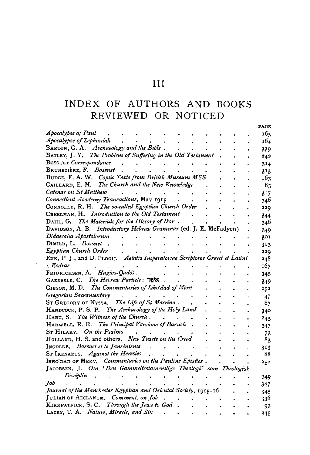# $\overline{III}$

 $\ddot{\phantom{0}}$ 

# INDEX OF AUTHORS AND BOOKS REVIEWED OR NOTICED

----

|                                                                             | i ave          |
|-----------------------------------------------------------------------------|----------------|
| Apocalypse of Paul                                                          | 165            |
| Apocalypse of Zephaniah                                                     | 164            |
| BARTON, G. A. Archaeology and the Bible.                                    | 339            |
| BATLEY, J. Y. The Problem of Suffering in the Old Testament                 | 242            |
| <b>BOSSUET</b> Correspondance                                               | 314            |
| BRUNETIÈRE, F. Bossuet                                                      | 313            |
| BUDGE, E. A. W. Coptic Texts from British Museum MSS                        | 163            |
| CAILLARD, E. M. The Church and the New Knowledge                            | 8 <sub>3</sub> |
| Catenae on St Matthew                                                       | 317            |
| Connecticut Academy Transactions, May 1915                                  | 346            |
| CONNOLLY, R. H. The so-called Egyptian Church Order                         | 229            |
| CREELMAN, H. Introduction to the Old Testament                              | 344            |
| DAHL, G. The Materials for the History of Dor.                              | 346            |
| DAVIDSON, A. B. Introductory Hebrew Grammar (ed. J. E. McFadyen)            | 349            |
| Didascalia Apostolorum                                                      | 301            |
| DIMIER, L. Bossuet                                                          | 313            |
| Egyptian Church Order                                                       | 229            |
| ENK, P. J., and D. PLOOIJ. Aetatis Imperatoriae Scriptores Graeci et Latini | 248            |
| 4 Esdras                                                                    | 167            |
| FRIDRICHSEN, A. Hagios-Qadoš.                                               | 345            |
| GAENSSLE, C. The Helrew Particle: 708                                       | 349            |
| GIBSON, M. D. The Commentaries of Isho'dad of Merv                          | 252            |
| Gregorian Sacramentary                                                      | 47             |
| ST GREGORY OF NYSSA. The Life of St Macrina.                                | 87             |
| HANDCOCK, P. S. P. The Archaeology of the Holy Land                         | 340            |
| HART, S. The Witness of the Church.                                         | 243            |
| HARWELL, R. R. The Principal Versions of Baruch.                            | 347            |
| ST HILARY. On the Psalms                                                    | 73             |
| HOLLAND, H. S. and others. New Tracts on the Creed                          | 83             |
| INGOLDE. Bossuet et le Jansénisme                                           | 313            |
| ST IRENAEUS. Against the Heresies                                           | 88             |
| ISHO'DAD OF MERV. Commentaries on the Pauline Epistles.                     | 252            |
| JACOBSEN, J. Om Den Gammeltestamentlige Theologi' som Theologisk            |                |
| Disciplin                                                                   | 349            |
| Job                                                                         | 347            |
| Journal of the Manchester Egyptian and Oriental Society, 1915-16            | 345            |
| JULIAN OF AECLANUM. Comment. on Job                                         | 336            |
| KIRKPATRICK, S. C. Through the Jews to God                                  | 93             |
| LACEY, T. A. Nature, Miracle, and Sin                                       | 245            |
|                                                                             |                |